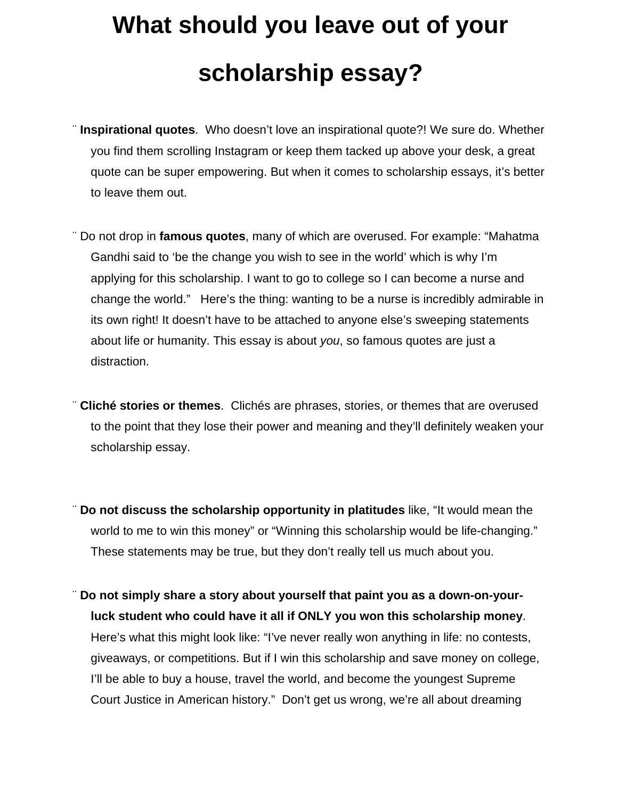## **What should you leave out of your scholarship essay?**

- ¨ **Inspirational quotes**. Who doesn't love an inspirational quote?! We sure do. Whether you find them scrolling Instagram or keep them tacked up above your desk, a great quote can be super empowering. But when it comes to scholarship essays, it's better to leave them out.
- ¨ Do not drop in **famous quotes**, many of which are overused. For example: "Mahatma Gandhi said to 'be the change you wish to see in the world' which is why I'm applying for this scholarship. I want to go to college so I can become a nurse and change the world." Here's the thing: wanting to be a nurse is incredibly admirable in its own right! It doesn't have to be attached to anyone else's sweeping statements about life or humanity. This essay is about *you*, so famous quotes are just a distraction.
- ¨ **Cliché stories or themes**. [Clichés](https://literarydevices.net/cliche/) are phrases, stories, or themes that are overused to the point that they lose their power and meaning and they'll definitely weaken your scholarship essay.
- ¨ **Do not discuss the scholarship opportunity in platitudes** like, "It would mean the world to me to win this money" or "Winning this scholarship would be life-changing." These statements may be true, but they don't really tell us much about you.
- ¨ **Do not simply share a story about yourself that paint you as a down-on-yourluck student who could have it all if ONLY you won this scholarship money**. Here's what this might look like: "I've never really won anything in life: no contests, giveaways, or competitions. But if I win this scholarship and save money on college, I'll be able to buy a house, travel the world, and become the youngest Supreme Court Justice in American history." Don't get us wrong, we're all about dreaming